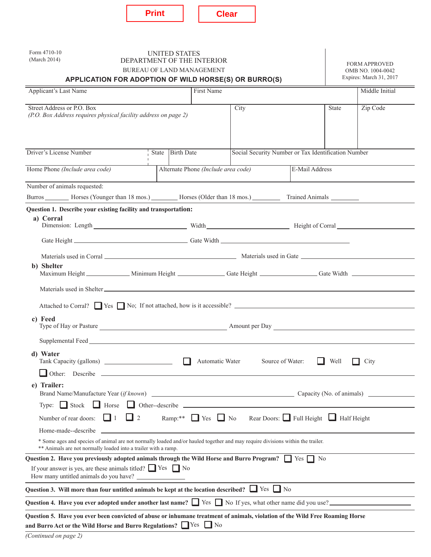|--|

| Form 4710-10<br><b>UNITED STATES</b><br>(March 2014)<br>DEPARTMENT OF THE INTERIOR<br><b>BUREAU OF LAND MANAGEMENT</b>                                                                              |                                                                                   |                                     |                                                                                                      |                  |              | <b>FORM APPROVED</b><br>OMB NO. 1004-0042<br>Expires: March 31, 2017 |  |
|-----------------------------------------------------------------------------------------------------------------------------------------------------------------------------------------------------|-----------------------------------------------------------------------------------|-------------------------------------|------------------------------------------------------------------------------------------------------|------------------|--------------|----------------------------------------------------------------------|--|
| APPLICATION FOR ADOPTION OF WILD HORSE(S) OR BURRO(S)<br>First Name<br><b>Applicant's Last Name</b>                                                                                                 |                                                                                   |                                     |                                                                                                      |                  |              | Middle Initial                                                       |  |
|                                                                                                                                                                                                     |                                                                                   |                                     |                                                                                                      |                  |              |                                                                      |  |
| Street Address or P.O. Box<br>(P.O. Box Address requires physical facility address on page 2)                                                                                                       |                                                                                   |                                     | City                                                                                                 |                  | <b>State</b> | Zip Code                                                             |  |
| Driver's License Number                                                                                                                                                                             | <b>Birth Date</b><br>Social Security Number or Tax Identification Number<br>State |                                     |                                                                                                      |                  |              |                                                                      |  |
| Home Phone (Include area code)                                                                                                                                                                      |                                                                                   | Alternate Phone (Include area code) |                                                                                                      | E-Mail Address   |              |                                                                      |  |
| Number of animals requested:                                                                                                                                                                        |                                                                                   |                                     |                                                                                                      |                  |              |                                                                      |  |
| Burros _________ Horses (Younger than 18 mos.) __________ Horses (Older than 18 mos.) _____________ Trained Animals __________                                                                      |                                                                                   |                                     |                                                                                                      |                  |              |                                                                      |  |
| Question 1. Describe your existing facility and transportation:                                                                                                                                     |                                                                                   |                                     |                                                                                                      |                  |              |                                                                      |  |
| a) Corral                                                                                                                                                                                           |                                                                                   |                                     |                                                                                                      |                  |              |                                                                      |  |
|                                                                                                                                                                                                     |                                                                                   |                                     |                                                                                                      |                  |              |                                                                      |  |
|                                                                                                                                                                                                     |                                                                                   |                                     |                                                                                                      |                  |              |                                                                      |  |
| b) Shelter<br>Maximum Height _____________ Minimum Height _____________ Gate Height _______________ Gate Width _____________                                                                        |                                                                                   |                                     |                                                                                                      |                  |              |                                                                      |  |
|                                                                                                                                                                                                     |                                                                                   |                                     |                                                                                                      |                  |              |                                                                      |  |
| Attached to Corral? Yes No; If not attached, how is it accessible?                                                                                                                                  |                                                                                   |                                     |                                                                                                      |                  |              |                                                                      |  |
| c) Feed                                                                                                                                                                                             |                                                                                   |                                     |                                                                                                      |                  |              |                                                                      |  |
|                                                                                                                                                                                                     |                                                                                   |                                     |                                                                                                      |                  |              |                                                                      |  |
| d) Water                                                                                                                                                                                            |                                                                                   |                                     | Automatic Water                                                                                      | Source of Water: | Well         | City                                                                 |  |
| e) Trailer:                                                                                                                                                                                         |                                                                                   |                                     |                                                                                                      |                  |              |                                                                      |  |
| Type: $\Box$ Stock $\Box$ Horse $\Box$ Other--describe                                                                                                                                              |                                                                                   |                                     |                                                                                                      |                  |              |                                                                      |  |
| $\Box$ 1<br>Number of rear doors:                                                                                                                                                                   | $\Box$ 2                                                                          |                                     | Ramp:** $\Box$ Yes $\Box$ No Rear Doors: $\Box$ Full Height $\Box$ Half Height                       |                  |              |                                                                      |  |
| Home-made--describe                                                                                                                                                                                 |                                                                                   |                                     | <u>and the control of the control of the control of the control of the control of the control of</u> |                  |              |                                                                      |  |
| * Some ages and species of animal are not normally loaded and/or hauled together and may require divisions within the trailer.<br>** Animals are not normally loaded into a trailer with a ramp.    |                                                                                   |                                     |                                                                                                      |                  |              |                                                                      |  |
| Question 2. Have you previously adopted animals through the Wild Horse and Burro Program? $\Box$ Yes $\Box$ No<br>If your answer is yes, are these animals titled? $\Box$ Yes $\Box$ No             |                                                                                   |                                     |                                                                                                      |                  |              |                                                                      |  |
| Question 3. Will more than four untitled animals be kept at the location described? $\Box$ Yes $\Box$ No                                                                                            |                                                                                   |                                     |                                                                                                      |                  |              |                                                                      |  |
| Question 4. Have you ever adopted under another last name? Similarly No If yes, what other name did you use?                                                                                        |                                                                                   |                                     |                                                                                                      |                  |              |                                                                      |  |
| Question 5. Have you ever been convicted of abuse or inhumane treatment of animals, violation of the Wild Free Roaming Horse<br>and Burro Act or the Wild Horse and Burro Regulations? Times Theory |                                                                                   |                                     |                                                                                                      |                  |              |                                                                      |  |

*(Continued on page 2)*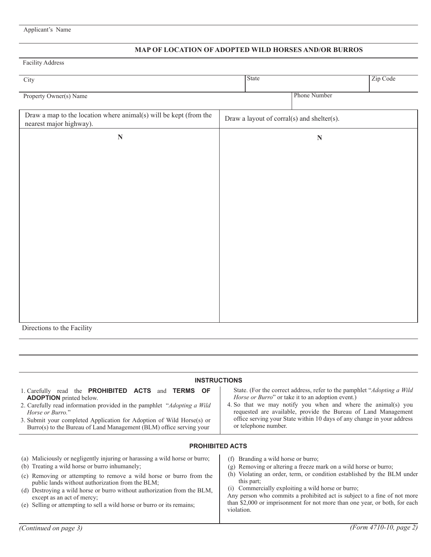## Applicant's Name

## **MAP OF LOCATION OF ADOPTED WILD HORSES AND/OR BURROS**

# Facility Address

| City                                                                                         | State |                                            | Zip Code |
|----------------------------------------------------------------------------------------------|-------|--------------------------------------------|----------|
| Property Owner(s) Name                                                                       |       | Phone Number                               |          |
| Draw a map to the location where animal(s) will be kept (from the<br>nearest major highway). |       | Draw a layout of corral(s) and shelter(s). |          |
| $\mathbf N$                                                                                  |       | $\mathbf N$                                |          |
|                                                                                              |       |                                            |          |
|                                                                                              |       |                                            |          |
|                                                                                              |       |                                            |          |
|                                                                                              |       |                                            |          |
|                                                                                              |       |                                            |          |
|                                                                                              |       |                                            |          |
|                                                                                              |       |                                            |          |
|                                                                                              |       |                                            |          |
|                                                                                              |       |                                            |          |
|                                                                                              |       |                                            |          |
| Directions to the Facility                                                                   |       |                                            |          |

| <b>INSTRUCTIONS</b>                                                                                                                                                                                                                                                                                                                                          |                                                                                                                                                                                                                                                                                                                                                                           |  |  |  |  |  |
|--------------------------------------------------------------------------------------------------------------------------------------------------------------------------------------------------------------------------------------------------------------------------------------------------------------------------------------------------------------|---------------------------------------------------------------------------------------------------------------------------------------------------------------------------------------------------------------------------------------------------------------------------------------------------------------------------------------------------------------------------|--|--|--|--|--|
| 1. Carefully read the <b>PROHIBITED ACTS</b> and <b>TERMS</b><br><b>OF</b><br><b>ADOPTION</b> printed below.<br>2. Carefully read information provided in the pamphlet "Adopting a Wild"<br>Horse or Burro."<br>3. Submit your completed Application for Adoption of Wild Horse(s) or<br>Burro(s) to the Bureau of Land Management (BLM) office serving your | State. (For the correct address, refer to the pamphlet " <i>Adopting a Wild</i><br>Horse or Burro" or take it to an adoption event.)<br>4. So that we may notify you when and where the animal(s) you<br>requested are available, provide the Bureau of Land Management<br>office serving your State within 10 days of any change in your address<br>or telephone number. |  |  |  |  |  |
| <b>PROHIBITED ACTS</b>                                                                                                                                                                                                                                                                                                                                       |                                                                                                                                                                                                                                                                                                                                                                           |  |  |  |  |  |
| (a) Maliciously or negligently injuring or harassing a wild horse or burro;<br>(b) Treating a wild horse or burro inhumanely;<br>Removing or attempting to remove a wild horse or burro from the<br>(c)                                                                                                                                                      | Branding a wild horse or burro;<br>(f)<br>(g) Removing or altering a freeze mark on a wild horse or burro;<br>Violating an order, term, or condition established by the BLM under<br>(h)                                                                                                                                                                                  |  |  |  |  |  |
| public lands without authorization from the BLM;<br>(d) Destroying a wild horse or burro without authorization from the BLM,<br>except as an act of mercy;<br>(e) Selling or attempting to sell a wild horse or burro or its remains;                                                                                                                        | this part;<br>(i) Commercially exploiting a wild horse or burro;<br>Any person who commits a prohibited act is subject to a fine of not more<br>than \$2,000 or imprisonment for not more than one year, or both, for each                                                                                                                                                |  |  |  |  |  |

violation.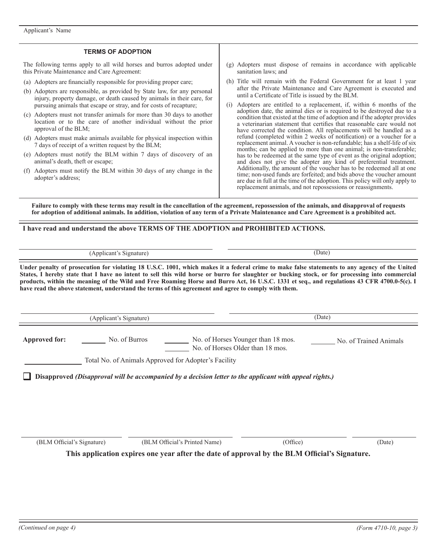#### **TERMS OF ADOPTION**

The following terms apply to all wild horses and burros adopted under this Private Maintenance and Care Agreement:

- (a) Adopters are financially responsible for providing proper care;
- (b) Adopters are responsible, as provided by State law, for any personal injury, property damage, or death caused by animals in their care, for pursuing animals that escape or stray, and for costs of recapture;
- (c) Adopters must not transfer animals for more than 30 days to another location or to the care of another individual without the prior approval of the BLM;
- (d) Adopters must make animals available for physical inspection within 7 days of receipt of a written request by the BLM;
- (e) Adopters must notify the BLM within 7 days of discovery of an animal's death, theft or escape;
- (f) Adopters must notify the BLM within 30 days of any change in the adopter's address;
- (g) Adopters must dispose of remains in accordance with applicable sanitation laws; and
- (h) Title will remain with the Federal Government for at least 1 year after the Private Maintenance and Care Agreement is executed and until a Certificate of Title is issued by the BLM.
- (i) Adopters are entitled to a replacement, if, within 6 months of the adoption date, the animal dies or is required to be destroyed due to a condition that existed at the time of adoption and if the adopter provides a veterinarian statement that certifies that reasonable care would not have corrected the condition. All replacements will be handled as a refund (completed within 2 weeks of notification) or a voucher for a replacement animal. A voucher is non-refundable; has a shelf-life of six months; can be applied to more than one animal; is non-transferable; has to be redeemed at the same type of event as the original adoption; and does not give the adopter any kind of preferential treatment. Additionally, the amount of the voucher has to be redeemed all at one time; non-used funds are forfeited; and bids above the voucher amount are due in full at the time of the adoption. This policy will only apply to replacement animals, and not repossessions or reassignments.

**Failure to comply with these terms may result in the cancellation of the agreement, repossession of the animals, and disapproval of requests for adoption of additional animals. In addition, violation of any term of a Private Maintenance and Care Agreement is a prohibited act.**

**I have read and understand the above TERMS OF THE ADOPTION and PROHIBITED ACTIONS.**

(Applicant's Signature) (Date)

**Under penalty of prosecution for violating 18 U.S.C. 1001, which makes it a federal crime to make false statements to any agency of the United States, I hereby state that I have no intent to sell this wild horse or burro for slaughter or bucking stock, or for processing into commercial products, within the meaning of the Wild and Free Roaming Horse and Burro Act, 16 U.S.C. 1331 et seq., and regulations 43 CFR 4700.0-5(c). I have read the above statement, understand the terms of this agreement and agree to comply with them.**

(Applicant's Signature) (Date)

Approved for: No. of Burros No. of Horses Younger than 18 mos. No. of Horses Older than 18 mos. No. of Trained Animals

Total No. of Animals Approved for Adopter's Facility

**Disapproved** *(Disapproval will be accompanied by a decision letter to the applicant with appeal rights.)*

(BLM Official's Signature) (BLM Official's Printed Name) (Office) (Date) (Date)

**This application expires one year after the date of approval by the BLM Official's Signature.**